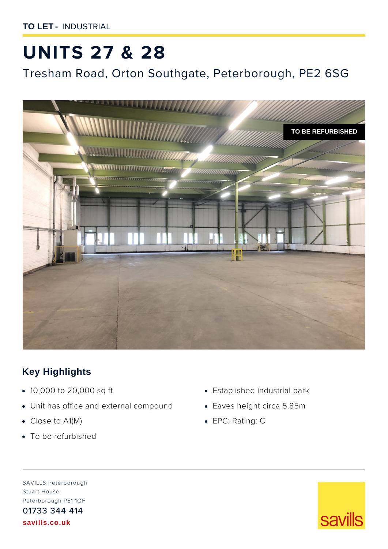**TO LET -** INDUSTRIAL

# **UNITS 27 & 28**

Tresham Road, Orton Southgate, Peterborough, PE2 6SG



## **Key Highlights**

- **·** 10,000 to 20,000 sq ft
- **·** Unit has office and external compound
- **·** Close to A1(M)
- **·** To be refurbished
- **·** Established industrial park
- **·** Eaves height circa 5.85m
- **·** EPC: Rating: C

SAVILLS Peterborough Stuart House Peterborough PE1 1QF 01733 344 414 **savills.co.uk**